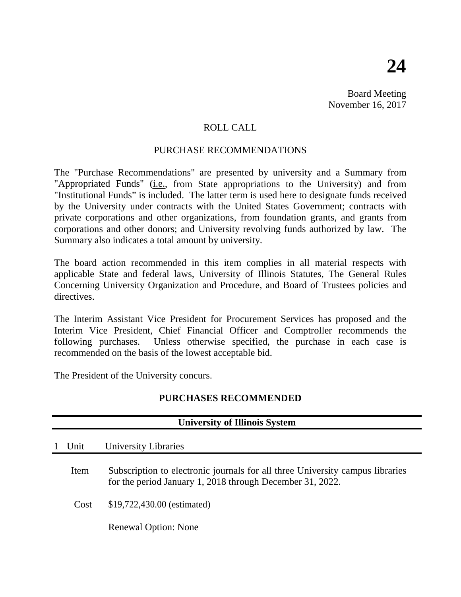Board Meeting November 16, 2017

# ROLL CALL

### PURCHASE RECOMMENDATIONS

The "Purchase Recommendations" are presented by university and a Summary from "Appropriated Funds" (*i.e.*, from State appropriations to the University) and from "Institutional Funds" is included. The latter term is used here to designate funds received by the University under contracts with the United States Government; contracts with private corporations and other organizations, from foundation grants, and grants from corporations and other donors; and University revolving funds authorized by law. The Summary also indicates a total amount by university.

The board action recommended in this item complies in all material respects with applicable State and federal laws, University of Illinois Statutes, The General Rules Concerning University Organization and Procedure, and Board of Trustees policies and directives.

The Interim Assistant Vice President for Procurement Services has proposed and the Interim Vice President, Chief Financial Officer and Comptroller recommends the following purchases. Unless otherwise specified, the purchase in each case is recommended on the basis of the lowest acceptable bid.

The President of the University concurs.

## **PURCHASES RECOMMENDED**

| <b>University of Illinois System</b> |                                                                                                                                            |  |  |  |  |
|--------------------------------------|--------------------------------------------------------------------------------------------------------------------------------------------|--|--|--|--|
| Unit                                 | University Libraries                                                                                                                       |  |  |  |  |
| Item                                 | Subscription to electronic journals for all three University campus libraries<br>for the period January 1, 2018 through December 31, 2022. |  |  |  |  |
| Cost                                 | \$19,722,430.00 (estimated)                                                                                                                |  |  |  |  |
|                                      | <b>Renewal Option: None</b>                                                                                                                |  |  |  |  |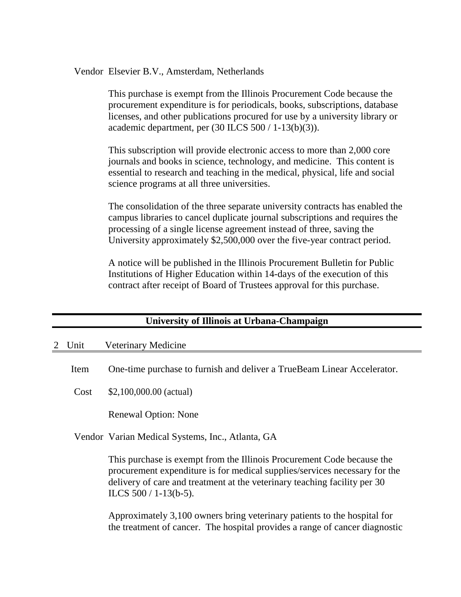Vendor Elsevier B.V., Amsterdam, Netherlands

This purchase is exempt from the Illinois Procurement Code because the procurement expenditure is for periodicals, books, subscriptions, database licenses, and other publications procured for use by a university library or academic department, per  $(30$  ILCS  $500/1-13(b)(3)$ .

This subscription will provide electronic access to more than 2,000 core journals and books in science, technology, and medicine. This content is essential to research and teaching in the medical, physical, life and social science programs at all three universities.

The consolidation of the three separate university contracts has enabled the campus libraries to cancel duplicate journal subscriptions and requires the processing of a single license agreement instead of three, saving the University approximately \$2,500,000 over the five-year contract period.

A notice will be published in the Illinois Procurement Bulletin for Public Institutions of Higher Education within 14-days of the execution of this contract after receipt of Board of Trustees approval for this purchase.

| University of Illinois at Urbana-Champaign |  |
|--------------------------------------------|--|
|                                            |  |

### 2 Unit Veterinary Medicine

Item One-time purchase to furnish and deliver a TrueBeam Linear Accelerator.

Cost \$2,100,000.00 (actual)

Renewal Option: None

Vendor Varian Medical Systems, Inc., Atlanta, GA

This purchase is exempt from the Illinois Procurement Code because the procurement expenditure is for medical supplies/services necessary for the delivery of care and treatment at the veterinary teaching facility per 30 ILCS 500 / 1-13(b-5).

Approximately 3,100 owners bring veterinary patients to the hospital for the treatment of cancer. The hospital provides a range of cancer diagnostic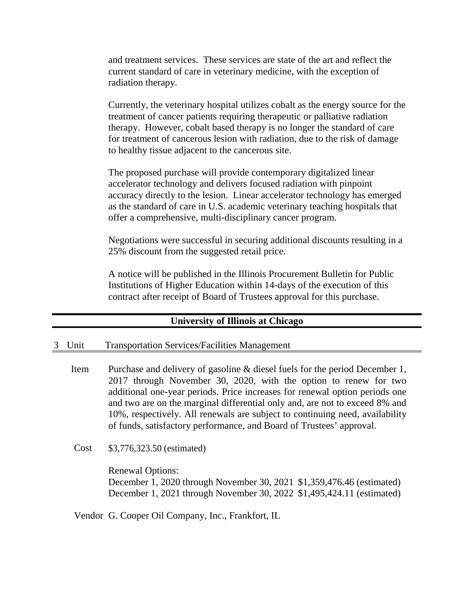and treatment services. These services are state of the art and reflect the current standard of care in veterinary medicine, with the exception of radiation therapy.

Currently, the veterinary hospital utilizes cobalt as the energy source for the treatment of cancer patients requiring therapeutic or palliative radiation therapy. However, cobalt based therapy is no longer the standard of care for treatment of cancerous lesion with radiation, due to the risk of damage to healthy tissue adjacent to the cancerous site.

The proposed purchase will provide contemporary digitalized linear accelerator technology and delivers focused radiation with pinpoint accuracy directly to the lesion. Linear accelerator technology has emerged as the standard of care in U.S. academic veterinary teaching hospitals that offer a comprehensive, multi-disciplinary cancer program.

Negotiations were successful in securing additional discounts resulting in a 25% discount from the suggested retail price.

A notice will be published in the Illinois Procurement Bulletin for Public Institutions of Higher Education within 14-days of the execution of this contract after receipt of Board of Trustees approval for this purchase.

### **University of Illinois at Chicago**

#### 3 Unit Transportation Services/Facilities Management

- Item Purchase and delivery of gasoline & diesel fuels for the period December 1, 2017 through November 30, 2020, with the option to renew for two additional one-year periods. Price increases for renewal option periods one and two are on the marginal differential only and, are not to exceed 8% and 10%, respectively. All renewals are subject to continuing need, availability of funds, satisfactory performance, and Board of Trustees' approval.
- Cost \$3,776,323.50 (estimated)

Renewal Options: December 1, 2020 through November 30, 2021 \$1,359,476.46 (estimated) December 1, 2021 through November 30, 2022 \$1,495,424.11 (estimated)

Vendor G. Cooper Oil Company, Inc., Frankfort, IL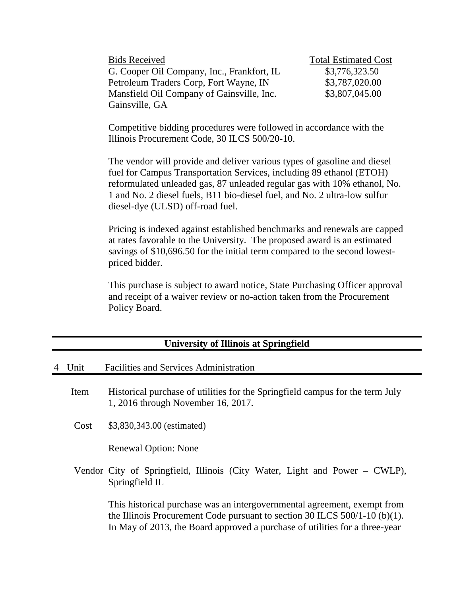| <b>Bids Received</b>                       | <b>Total Estimated Cost</b> |
|--------------------------------------------|-----------------------------|
| G. Cooper Oil Company, Inc., Frankfort, IL | \$3,776,323.50              |
| Petroleum Traders Corp, Fort Wayne, IN     | \$3,787,020.00              |
| Mansfield Oil Company of Gainsville, Inc.  | \$3,807,045.00              |
| Gainsville, GA                             |                             |

Competitive bidding procedures were followed in accordance with the Illinois Procurement Code, 30 ILCS 500/20-10.

The vendor will provide and deliver various types of gasoline and diesel fuel for Campus Transportation Services, including 89 ethanol (ETOH) reformulated unleaded gas, 87 unleaded regular gas with 10% ethanol, No. 1 and No. 2 diesel fuels, B11 bio-diesel fuel, and No. 2 ultra-low sulfur diesel-dye (ULSD) off-road fuel.

Pricing is indexed against established benchmarks and renewals are capped at rates favorable to the University. The proposed award is an estimated savings of \$10,696.50 for the initial term compared to the second lowestpriced bidder.

This purchase is subject to award notice, State Purchasing Officer approval and receipt of a waiver review or no-action taken from the Procurement Policy Board.

| <b>University of Illinois at Springfield</b> |      |                                                                                                                                                                                                                                         |  |  |  |
|----------------------------------------------|------|-----------------------------------------------------------------------------------------------------------------------------------------------------------------------------------------------------------------------------------------|--|--|--|
|                                              | Unit | <b>Facilities and Services Administration</b>                                                                                                                                                                                           |  |  |  |
|                                              | Item | Historical purchase of utilities for the Springfield campus for the term July<br>1, 2016 through November 16, 2017.                                                                                                                     |  |  |  |
|                                              | Cost | \$3,830,343.00 (estimated)                                                                                                                                                                                                              |  |  |  |
|                                              |      | <b>Renewal Option: None</b>                                                                                                                                                                                                             |  |  |  |
|                                              |      | Vendor City of Springfield, Illinois (City Water, Light and Power – CWLP),<br>Springfield IL                                                                                                                                            |  |  |  |
|                                              |      | This historical purchase was an intergovernmental agreement, exempt from<br>the Illinois Procurement Code pursuant to section 30 ILCS $500/1-10$ (b)(1).<br>In May of 2013, the Board approved a purchase of utilities for a three-year |  |  |  |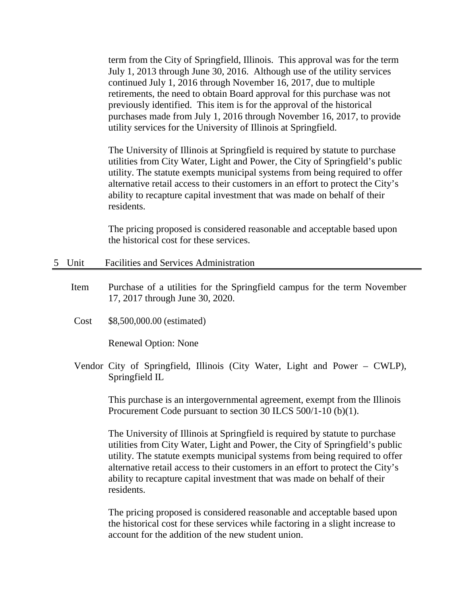term from the City of Springfield, Illinois. This approval was for the term July 1, 2013 through June 30, 2016. Although use of the utility services continued July 1, 2016 through November 16, 2017, due to multiple retirements, the need to obtain Board approval for this purchase was not previously identified. This item is for the approval of the historical purchases made from July 1, 2016 through November 16, 2017, to provide utility services for the University of Illinois at Springfield.

The University of Illinois at Springfield is required by statute to purchase utilities from City Water, Light and Power, the City of Springfield's public utility. The statute exempts municipal systems from being required to offer alternative retail access to their customers in an effort to protect the City's ability to recapture capital investment that was made on behalf of their residents.

The pricing proposed is considered reasonable and acceptable based upon the historical cost for these services.

- 5 Unit Facilities and Services Administration
	- Item Purchase of a utilities for the Springfield campus for the term November 17, 2017 through June 30, 2020.
	- Cost \$8,500,000.00 (estimated)

Renewal Option: None

Vendor City of Springfield, Illinois (City Water, Light and Power – CWLP), Springfield IL

> This purchase is an intergovernmental agreement, exempt from the Illinois Procurement Code pursuant to section 30 ILCS 500/1-10 (b)(1).

> The University of Illinois at Springfield is required by statute to purchase utilities from City Water, Light and Power, the City of Springfield's public utility. The statute exempts municipal systems from being required to offer alternative retail access to their customers in an effort to protect the City's ability to recapture capital investment that was made on behalf of their residents.

The pricing proposed is considered reasonable and acceptable based upon the historical cost for these services while factoring in a slight increase to account for the addition of the new student union.